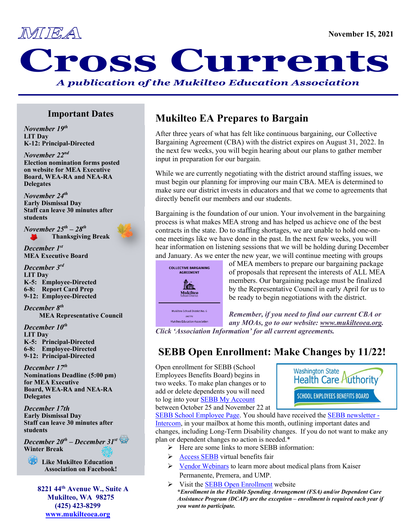

# MEA November 15, 202

*A publication of the Mukilteo Education Association*

#### **Important Dates**

*November 19th* **LIT Day K-12: Principal-Directed**

 *November 22nd* **Election nomination forms posted on website for MEA Executive Board, WEA-RA and NEA-RA Delegates**

*November 24th* **Early Dismissal Day** **Staff can leave 30 minutes after students**

*November 25th – 28th* **Thanksgiving Break**



*December 1st* **MEA Executive Board**

*December 3rd* **LIT Day K-5: Employee-Directed 6-8: Report Card Prep 9-12: Employee-Directed**

*December 8th* **MEA Representative Council**

*December 10th* **LIT Day K-5: Principal-Directed 6-8: Employee-Directed 9-12: Principal-Directed**

*December 17th* **Nominations Deadline (5:00 pm) for MEA Executive Board, WEA-RA and NEA-RA Delegates**

*December 17th* **Early Dismissal Day Staff can leave 30 minutes after students**

*December 20th – December 31st* **Winter Break**



**Like Mukilteo Education Association on Facebook!**

 **8221 44th Avenue W., Suite A Mukilteo, WA 98275 (425) 423-8299 [www.mukilteoea.org](http://www.mukilteoea.org/)**

## **Mukilteo EA Prepares to Bargain**

After three years of what has felt like continuous bargaining, our Collective Bargaining Agreement (CBA) with the district expires on August 31, 2022. In the next few weeks, you will begin hearing about our plans to gather member input in preparation for our bargain.

While we are currently negotiating with the district around staffing issues, we must begin our planning for improving our main CBA. MEA is determined to make sure our district invests in educators and that we come to agreements that directly benefit our members and our students.

Bargaining is the foundation of our union. Your involvement in the bargaining process is what makes MEA strong and has helped us achieve one of the best contracts in the state. Do to staffing shortages, we are unable to hold one-onone meetings like we have done in the past. In the next few weeks, you will hear information on listening sessions that we will be holding during December and January. As we enter the new year, we will continue meeting with groups



Mukilteo Education Association

of MEA members to prepare our bargaining package of proposals that represent the interests of ALL MEA members. Our bargaining package must be finalized by the Representative Council in early April for us to be ready to begin negotiations with the district.

*Remember, if you need to find our current CBA or any MOAs, go to our website: [www.mukilteoea.org.](http://www.mukilteoea.org/) Click 'Association Information' for all current agreements.*

# **SEBB Open Enrollment: Make Changes by 11/22!**

Open enrollment for SEBB (School Employees Benefits Board) begins in two weeks. To make plan changes or to add or delete dependents you will need to log into you[r SEBB My Account](https://myaccount.hca.wa.gov/auth) between October 25 and November 22 at



[SEBB School Employee Page.](https://www.hca.wa.gov/employee-retiree-benefits/school-employees) You should have received the [SEBB newsletter -](https://www.hca.wa.gov/assets/pebb/sebb-intercom-employee-newsletter-102021.pdf)  [Intercom,](https://www.hca.wa.gov/assets/pebb/sebb-intercom-employee-newsletter-102021.pdf) in your mailbox at home this month, outlining important dates and changes, including Long-Term Disability changes. If you do not want to make any plan or dependent changes no action is needed.\*

- $\triangleright$  Here are some links to more SEBB information:
- $\triangleright$  [Access SEBB](https://www.hca.wa.gov/employee-retiree-benefits/virtual-benefits-fair-sebb) virtual benefits fair
- $\triangleright$  [Vendor Webinars](https://www.hca.wa.gov/employee-retiree-benefits/open-enrollment-webinars-sebb) to learn more about medical plans from Kaiser Permanente, Premera, and UMP.
- $\triangleright$  Visit the [SEBB Open Enrollment](https://www.hca.wa.gov/employee-retiree-benefits/sebb-open-enrollment) website **\****Enrollment in the Flexible Spending Arrangement (FSA) and/or Dependent Care Assistance Program (DCAP) are the exception – enrollment is required each year if you want to participate.*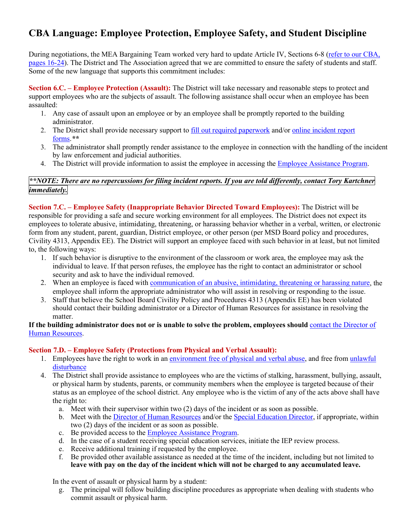## **CBA Language: Employee Protection, Employee Safety, and Student Discipline**

During negotiations, the MEA Bargaining Team worked very hard to update Article IV, Sections 6-8 [\(refer to our CBA,](http://www.mukilteoea.org/images/stories/contracts/2019-22_mea_cba.pdf)  [pages 16-24\)](http://www.mukilteoea.org/images/stories/contracts/2019-22_mea_cba.pdf). The District and The Association agreed that we are committed to ensure the safety of students and staff. Some of the new language that supports this commitment includes:

**Section 6.C. – Employee Protection (Assault):** The District will take necessary and reasonable steps to protect and support employees who are the subjects of assault. The following assistance shall occur when an employee has been assaulted:

- 1. Any case of assault upon an employee or by an employee shall be promptly reported to the building administrator.
- 2. The District shall provide necessary support to [fill out required paperwork](https://mukilteoschooldistrict.sharepoint.com/sites/msd_do_businessoffice/Workers%20Comp/Employee%20Accidents%20and%20Injuries-8.2019-2.pdf) and/or [online incident report](https://mukilteoschooldistrict.sharepoint.com/sites/msd_do_businessoffice/Workers%20Comp/Forms/AllItems.aspx?id=%2Fsites%2Fmsd%5Fdo%5Fbusinessoffice%2FWorkers%20Comp%2FWorker%27s%20Comp%20Docs%2FStaff%20Incident%2DInjury%20Submission%2Epdf&parent=%2Fsites%2Fmsd%5Fdo%5Fbusinessoffice%2FWorkers%20Comp%2FWorker%27s%20Comp%20Docs&p=true&originalPath=aHR0cHM6Ly9tdWtpbHRlb3NjaG9vbGRpc3RyaWN0LnNoYXJlcG9pbnQuY29tLzpiOi9zL21zZF9kb19idXNpbmVzc29mZmljZS9FUkp5S09ySzQ2TkR0enVaUmstQzl1NEJIb1dIN1puUmN1NGdtb25NN1B3ZWxRP3J0aW1lPUFtbTdHSlJoMTBn)  [forms.](https://mukilteoschooldistrict.sharepoint.com/sites/msd_do_businessoffice/Workers%20Comp/Forms/AllItems.aspx?id=%2Fsites%2Fmsd%5Fdo%5Fbusinessoffice%2FWorkers%20Comp%2FWorker%27s%20Comp%20Docs%2FStaff%20Incident%2DInjury%20Submission%2Epdf&parent=%2Fsites%2Fmsd%5Fdo%5Fbusinessoffice%2FWorkers%20Comp%2FWorker%27s%20Comp%20Docs&p=true&originalPath=aHR0cHM6Ly9tdWtpbHRlb3NjaG9vbGRpc3RyaWN0LnNoYXJlcG9pbnQuY29tLzpiOi9zL21zZF9kb19idXNpbmVzc29mZmljZS9FUkp5S09ySzQ2TkR0enVaUmstQzl1NEJIb1dIN1puUmN1NGdtb25NN1B3ZWxRP3J0aW1lPUFtbTdHSlJoMTBn)*\*\**
- 3. The administrator shall promptly render assistance to the employee in connection with the handling of the incident by law enforcement and judicial authorities.
- 4. The District will provide information to assist the employee in accessing th[e Employee Assistance Program.](https://www.mukilteoschools.org/Page/940)

#### *\*\*NOTE: There are no repercussions for filing incident reports. If you are told differently, contact Tory Kartchner immediately.*

**Section 7.C. – Employee Safety (Inappropriate Behavior Directed Toward Employees):** The District will be responsible for providing a safe and secure working environment for all employees. The District does not expect its employees to tolerate abusive, intimidating, threatening, or harassing behavior whether in a verbal, written, or electronic form from any student, parent, guardian, District employee, or other person (per MSD Board policy and procedures, Civility 4313, Appendix EE). The District will support an employee faced with such behavior in at least, but not limited to, the following ways:

- 1. If such behavior is disruptive to the environment of the classroom or work area, the employee may ask the individual to leave. If that person refuses, the employee has the right to contact an administrator or school security and ask to have the individual removed.
- 2. When an employee is faced with [communication of an abusive, intimidating, threatening or harassing nature,](https://apps.leg.wa.gov/RCW/default.aspx?cite=28A.635.010) the employee shall inform the appropriate administrator who will assist in resolving or responding to the issue.
- 3. Staff that believe the School Board Civility Policy and Procedures 4313 (Appendix EE) has been violated should contact their building administrator or a Director of Human Resources for assistance in resolving the matter.

#### **If the building administrator does not or is unable to solve the problem, employees should** [contact the Director of](mailto:JohnsonMW@mukilteo.wednet.edu)  [Human Resources.](mailto:JohnsonMW@mukilteo.wednet.edu)

#### **Section 7.D. – Employee Safety (Protections from Physical and Verbal Assault):**

- 1. Employees have the right to work in an [environment free of physical and verbal abuse,](https://app.leg.wa.gov/RCW/default.aspx?cite=28A.600.460) and free from unlawful [disturbance](https://apps.leg.wa.gov/RCW/default.aspx?cite=28A.635.030)
- 4. The District shall provide assistance to employees who are the victims of stalking, harassment, bullying, assault, or physical harm by students, parents, or community members when the employee is targeted because of their status as an employee of the school district. Any employee who is the victim of any of the acts above shall have the right to:
	- a. Meet with their supervisor within two (2) days of the incident or as soon as possible.
	- b. Meet with the [Director of Human Resources](mailto:JohnsonMW@mukilteo.wednet.edu) and/or the [Special Education Director,](mailto:PitschLA@mukilteo.wednet.edu) if appropriate, within two (2) days of the incident or as soon as possible.
	- c. Be provided access to th[e Employee Assistance Program.](https://www.mukilteoschools.org/Page/940)
	- d. In the case of a student receiving special education services, initiate the IEP review process.
	- e. Receive additional training if requested by the employee.
	- f. Be provided other available assistance as needed at the time of the incident, including but not limited to **leave with pay on the day of the incident which will not be charged to any accumulated leave.**

In the event of assault or physical harm by a student:

g. The principal will follow building discipline procedures as appropriate when dealing with students who commit assault or physical harm.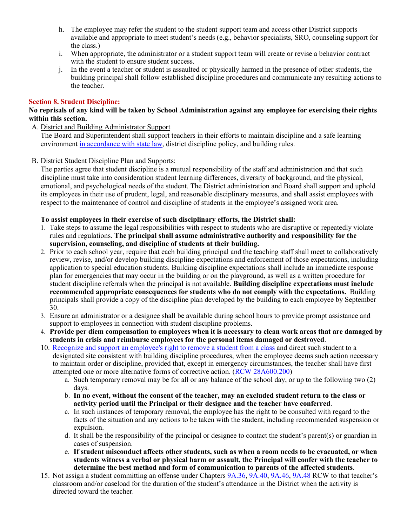- h. The employee may refer the student to the student support team and access other District supports available and appropriate to meet student's needs (e.g., behavior specialists, SRO, counseling support for the class.)
- i. When appropriate, the administrator or a student support team will create or revise a behavior contract with the student to ensure student success.
- j. In the event a teacher or student is assaulted or physically harmed in the presence of other students, the building principal shall follow established discipline procedures and communicate any resulting actions to the teacher.

#### **Section 8. Student Discipline:**

#### **No reprisals of any kind will be taken by School Administration against any employee for exercising their rights within this section.**

#### A. District and Building Administrator Support

The Board and Superintendent shall support teachers in their efforts to maintain discipline and a safe learning environment [in accordance with state law,](https://app.leg.wa.gov/RCW/default.aspx?cite=28A.600.460) district discipline policy, and building rules.

B. District Student Discipline Plan and Supports:

The parties agree that student discipline is a mutual responsibility of the staff and administration and that such discipline must take into consideration student learning differences, diversity of background, and the physical, emotional, and psychological needs of the student. The District administration and Board shall support and uphold its employees in their use of prudent, legal, and reasonable disciplinary measures, and shall assist employees with respect to the maintenance of control and discipline of students in the employee's assigned work area.

#### **To assist employees in their exercise of such disciplinary efforts, the District shall:**

- 1. Take steps to assume the legal responsibilities with respect to students who are disruptive or repeatedly violate rules and regulations. **The principal shall assume administrative authority and responsibility for the supervision, counseling, and discipline of students at their building.**
- 2. Prior to each school year, require that each building principal and the teaching staff shall meet to collaboratively review, revise, and/or develop building discipline expectations and enforcement of those expectations, including application to special education students. Building discipline expectations shall include an immediate response plan for emergencies that may occur in the building or on the playground, as well as a written procedure for student discipline referrals when the principal is not available. **Building discipline expectations must include recommended appropriate consequences for students who do not comply with the expectations.** Building principals shall provide a copy of the discipline plan developed by the building to each employee by September 30.
- 3. Ensure an administrator or a designee shall be available during school hours to provide prompt assistance and support to employees in connection with student discipline problems.
- 4. **Provide per diem compensation to employees when it is necessary to clean work areas that are damaged by students in crisis and reimburse employees for the personal items damaged or destroyed**.
- 10. [Recognize and support an employee's right to remove a student from a class](https://apps.leg.wa.gov/WAC/default.aspx?cite=392-400-330) and direct such student to a designated site consistent with building discipline procedures, when the employee deems such action necessary to maintain order or discipline, provided that, except in emergency circumstances, the teacher shall have first attempted one or more alternative forms of corrective action. [\(RCW 28A600.200\)](https://app.leg.wa.gov/RCW/default.aspx?cite=28A.600.020)
	- a. Such temporary removal may be for all or any balance of the school day, or up to the following two (2) days.
	- b. **In no event, without the consent of the teacher, may an excluded student return to the class or activity period until the Principal or their designee and the teacher have conferred**.
	- c. In such instances of temporary removal, the employee has the right to be consulted with regard to the facts of the situation and any actions to be taken with the student, including recommended suspension or expulsion.
	- d. It shall be the responsibility of the principal or designee to contact the student's parent(s) or guardian in cases of suspension.
	- e. **If student misconduct affects other students, such as when a room needs to be evacuated, or when students witness a verbal or physical harm or assault, the Principal will confer with the teacher to determine the best method and form of communication to parents of the affected students**.
- 15. Not assign a student committing an offense under Chapters [9A.36,](https://app.leg.wa.gov/RCW/default.aspx?cite=9A.36) [9A.40,](https://app.leg.wa.gov/RCW/default.aspx?cite=9A.40) [9A.46,](https://app.leg.wa.gov/RCW/default.aspx?cite=9A.46) [9A.48](https://app.leg.wa.gov/RCW/default.aspx?cite=9A.48) RCW to that teacher's classroom and/or caseload for the duration of the student's attendance in the District when the activity is directed toward the teacher.